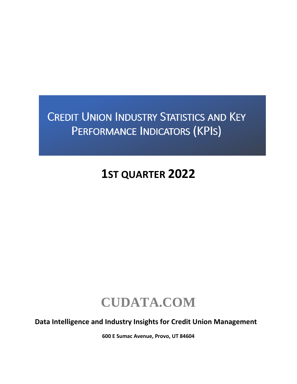# **CREDIT UNION INDUSTRY STATISTICS AND KEY** PERFORMANCE INDICATORS (KPIS)

# **1ST QUARTER 2022**

# **CUDATA.COM**

**Data Intelligence and Industry Insights for Credit Union Management**

**600 E Sumac Avenue, Provo, UT 84604**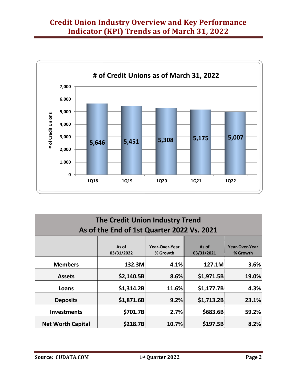

| The Credit Union Industry Trend            |                     |                            |                     |                                   |  |  |  |  |
|--------------------------------------------|---------------------|----------------------------|---------------------|-----------------------------------|--|--|--|--|
| As of the End of 1st Quarter 2022 Vs. 2021 |                     |                            |                     |                                   |  |  |  |  |
|                                            | As of<br>03/31/2022 | Year-Over-Year<br>% Growth | As of<br>03/31/2021 | <b>Year-Over-Year</b><br>% Growth |  |  |  |  |
| <b>Members</b>                             | 132.3M              | 4.1%                       | 127.1M              | 3.6%                              |  |  |  |  |
| <b>Assets</b>                              | \$2,140.5B          | 8.6%                       | \$1,971.5B          | 19.0%                             |  |  |  |  |
| Loans                                      | \$1,314.2B          | 11.6%                      | \$1,177.7B          | 4.3%                              |  |  |  |  |
| <b>Deposits</b>                            | \$1,871.6B          | 9.2%                       | \$1,713.2B          | 23.1%                             |  |  |  |  |
| <b>Investments</b>                         | \$701.7B            | 2.7%                       | \$683.6B            | 59.2%                             |  |  |  |  |
| <b>Net Worth Capital</b>                   | \$218.7B            | 10.7%                      | \$197.5B            | 8.2%                              |  |  |  |  |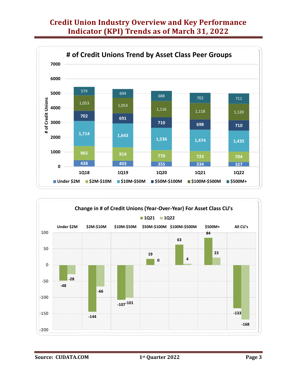

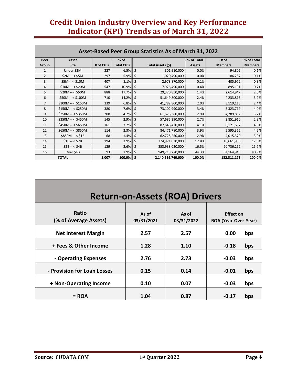| Asset-Based Peer Group Statistics As of March 31, 2022 |                      |           |                           |                         |                             |                        |                              |  |  |
|--------------------------------------------------------|----------------------|-----------|---------------------------|-------------------------|-----------------------------|------------------------|------------------------------|--|--|
| Peer<br>Group                                          | Asset<br><b>Size</b> | # of CU's | % of<br><b>Total CU's</b> | Total Assets (\$)       | % of Total<br><b>Assets</b> | # of<br><b>Members</b> | % of Total<br><b>Members</b> |  |  |
| 1                                                      | Under \$2M           | 327       | 6.5%                      | \$<br>301,910,000       | 0.0%                        | 94,805                 | 0.1%                         |  |  |
| $\overline{2}$                                         | $$2M - < $5M$        | 297       | 5.9%                      | \$<br>1,020,490,000     | 0.0%                        | 186,287                | 0.1%                         |  |  |
| 3                                                      | $$5M - $10M$         | 407       | 8.1%                      | \$<br>2,978,870,000     | 0.1%                        | 405,972                | 0.3%                         |  |  |
| 4                                                      | $$10M - < $20M$$     | 547       | 10.9%                     | \$<br>7,976,490,000     | 0.4%                        | 895,191                | 0.7%                         |  |  |
| 5                                                      | $$20M - < $50M$      | 888       | 17.7%                     | Ś.<br>29,370,850,000    | 1.4%                        | 2,614,947              | 2.0%                         |  |  |
| 6                                                      | $$50M - $100M$       | 710       | 14.2%                     | 51,649,800,000<br>\$    | 2.4%                        | 4,233,813              | 3.2%                         |  |  |
| 7                                                      | $$100M - < $150M$    | 339       | 6.8%                      | 41,782,800,000<br>\$    | 2.0%                        | 3,119,115              | 2.4%                         |  |  |
| 8                                                      | $$150M - < $250M$    | 380       | 7.6%                      | 73,102,990,000          | 3.4%                        | 5,323,719              | 4.0%                         |  |  |
| 9                                                      | $$250M - < $350M$    | 208       | 4.2%                      | \$<br>61,676,380,000    | 2.9%                        | 4,289,832              | 3.2%                         |  |  |
| 10                                                     | $$350M - < $450M$    | 145       | 2.9%                      | Ś<br>57,685,390,000     | 2.7%                        | 3,851,910              | 2.9%                         |  |  |
| 11                                                     | $$450M - < $650M$    | 161       | 3.2%                      | \$<br>87,646,420,000    | 4.1%                        | 6,121,697              | 4.6%                         |  |  |
| 12                                                     | $$650M - < $850M$    | 114       | 2.3%                      | Ś<br>84,471,780,000     | 3.9%                        | 5,595,365              | 4.2%                         |  |  |
| 13                                                     | $$850M - < $1B$      | 68        | 1.4%                      | 62,728,250,000          | 2.9%                        | 4,015,370              | 3.0%                         |  |  |
| 14                                                     | $$1B - < $2B$$       | 194       | 3.9%                      | \$<br>274,971,030,000   | 12.8%                       | 16,661,953             | 12.6%                        |  |  |
| 15                                                     | $$2B - < $4B$        | 129       | 2.6%                      | 353,938,020,000<br>\$   | 16.5%                       | 20,736,252             | 15.7%                        |  |  |
| 16                                                     | Over \$4B            | 93        | 1.9%                      | \$<br>949,218,270,000   | 44.3%                       | 54,164,945             | 40.9%                        |  |  |
|                                                        | <b>TOTAL</b>         | 5,007     | 100.0%                    | \$<br>2,140,519,740,000 | 100.0%                      | 132,311,173            | 100.0%                       |  |  |

| <b>Return-on-Assets (ROA) Drivers</b> |                     |                     |                                                 |     |  |  |  |  |  |
|---------------------------------------|---------------------|---------------------|-------------------------------------------------|-----|--|--|--|--|--|
| <b>Ratio</b><br>(% of Average Assets) | As of<br>03/31/2021 | As of<br>03/31/2022 | <b>Effect on</b><br><b>ROA (Year-Over-Year)</b> |     |  |  |  |  |  |
| <b>Net Interest Margin</b>            | 2.57                | 2.57                | 0.00                                            | bps |  |  |  |  |  |
| + Fees & Other Income                 | 1.28                | 1.10                | $-0.18$                                         | bps |  |  |  |  |  |
| - Operating Expenses                  | 2.76                | 2.73                | $-0.03$                                         | bps |  |  |  |  |  |
| - Provision for Loan Losses           | 0.15                | 0.14                | $-0.01$                                         | bps |  |  |  |  |  |
| + Non-Operating Income                | 0.10                | 0.07                | $-0.03$                                         | bps |  |  |  |  |  |
| $=$ ROA                               | 1.04                | 0.87                | $-0.17$                                         | bps |  |  |  |  |  |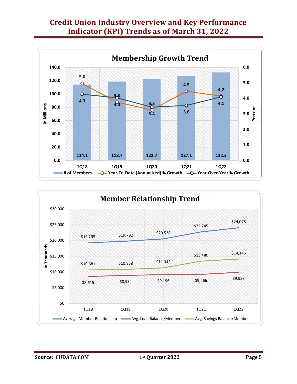

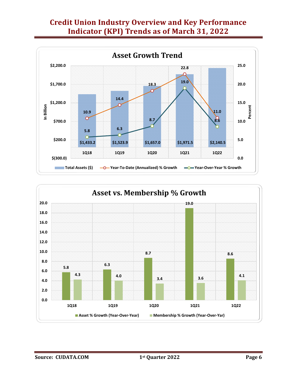

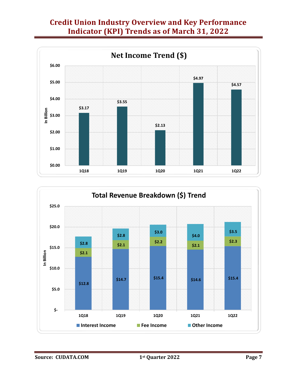

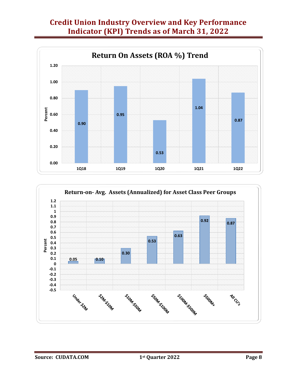

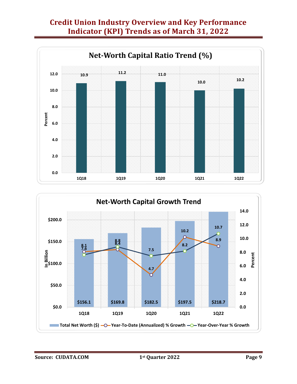



**Source: CUDATA.COM 1st Quarter 2022 Page 9**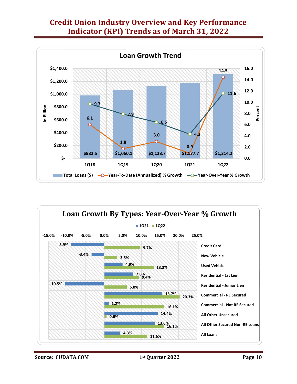



**Source: CUDATA.COM 1st Quarter 2022 Page 10**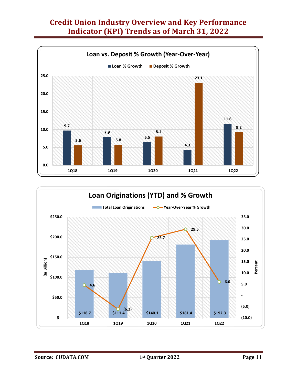

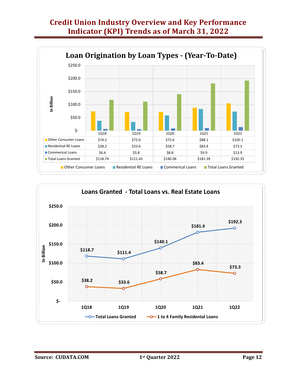

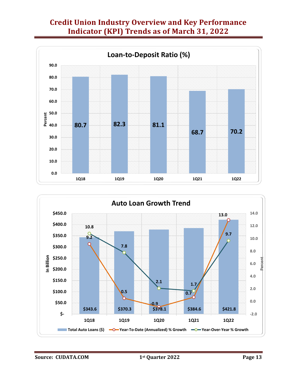

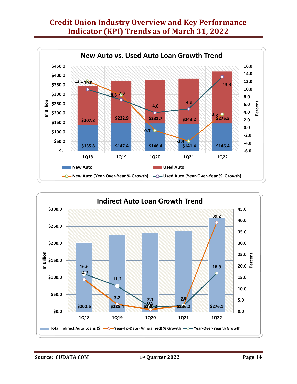

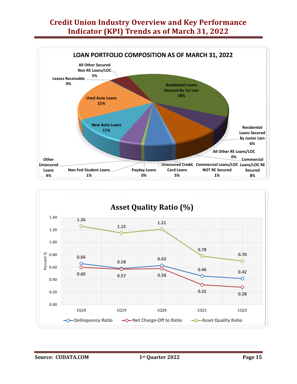

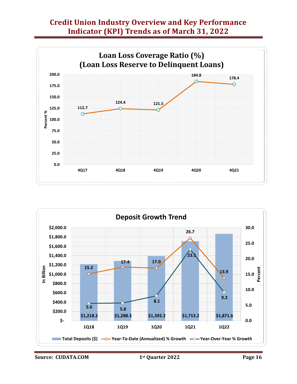



**Source: CUDATA.COM 1st Quarter 2022 Page 16**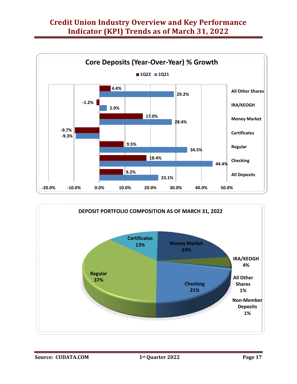

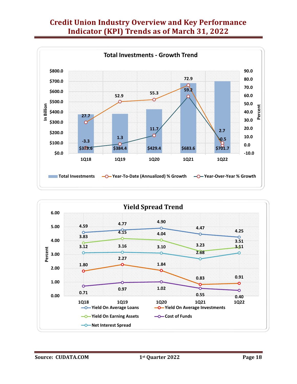